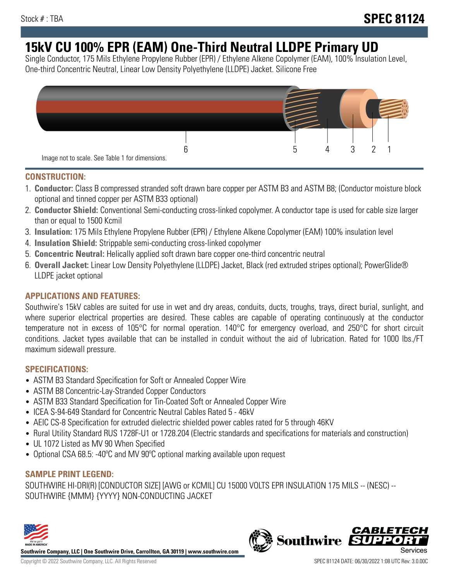# **15kV CU 100% EPR (EAM) One-Third Neutral LLDPE Primary UD**

Single Conductor, 175 Mils Ethylene Propylene Rubber (EPR) / Ethylene Alkene Copolymer (EAM), 100% Insulation Level, One-third Concentric Neutral, Linear Low Density Polyethylene (LLDPE) Jacket. Silicone Free



## **CONSTRUCTION:**

- 1. **Conductor:** Class B compressed stranded soft drawn bare copper per ASTM B3 and ASTM B8; (Conductor moisture block optional and tinned copper per ASTM B33 optional)
- 2. **Conductor Shield:** Conventional Semi-conducting cross-linked copolymer. A conductor tape is used for cable size larger than or equal to 1500 Kcmil
- 3. **Insulation:** 175 Mils Ethylene Propylene Rubber (EPR) / Ethylene Alkene Copolymer (EAM) 100% insulation level
- 4. **Insulation Shield:** Strippable semi-conducting cross-linked copolymer
- 5. **Concentric Neutral:** Helically applied soft drawn bare copper one-third concentric neutral
- 6. **Overall Jacket:** Linear Low Density Polyethylene (LLDPE) Jacket, Black (red extruded stripes optional); PowerGlide® LLDPE jacket optional

## **APPLICATIONS AND FEATURES:**

Southwire's 15kV cables are suited for use in wet and dry areas, conduits, ducts, troughs, trays, direct burial, sunlight, and where superior electrical properties are desired. These cables are capable of operating continuously at the conductor temperature not in excess of 105°C for normal operation. 140°C for emergency overload, and 250°C for short circuit conditions. Jacket types available that can be installed in conduit without the aid of lubrication. Rated for 1000 lbs./FT maximum sidewall pressure.

## **SPECIFICATIONS:**

- ASTM B3 Standard Specification for Soft or Annealed Copper Wire
- ASTM B8 Concentric-Lay-Stranded Copper Conductors
- ASTM B33 Standard Specification for Tin-Coated Soft or Annealed Copper Wire
- ICEA S-94-649 Standard for Concentric Neutral Cables Rated 5 46kV
- AEIC CS-8 Specification for extruded dielectric shielded power cables rated for 5 through 46KV
- Rural Utility Standard RUS 1728F-U1 or 1728.204 (Electric standards and specifications for materials and construction)
- UL 1072 Listed as MV 90 When Specified
- Optional CSA 68.5: -40°C and MV 90°C optional marking available upon request

# **SAMPLE PRINT LEGEND:**

SOUTHWIRE HI-DRI(R) [CONDUCTOR SIZE] [AWG or KCMIL] CU 15000 VOLTS EPR INSULATION 175 MILS -- (NESC) -- SOUTHWIRE {MMM} {YYYY} NON-CONDUCTING JACKET



**Southwire Company, LLC | One Southwire Drive, Carrollton, GA 30119 | www.southwire.com**